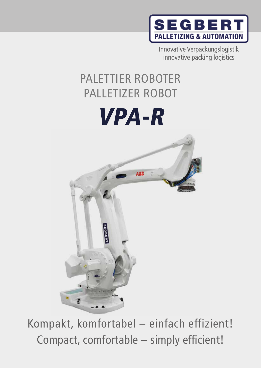

Innovative Verpackungslogistik innovative packing logistics

# PALLETIZER ROBOT PALETTIER ROBOTER

# VPA-R



Compact, comfortable – simply efficient! Kompakt, komfortabel – einfach effizient!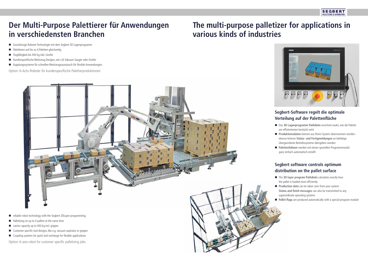### **Segbert-Software regelt die optimale Verteilung auf der Palettenfläche**

- Das **3D Lagenprogramm PalAdmin** errechnet exakt, wie die Palette am effizientesten bestückt wird
- **Produktionsdaten** können aus Ihrem System übernommen werden ebenso können **Status- und Fertigmeldungen** an beliebige
- übergeordnete Betriebssysteme übergeben werden
- **Palettenfahnen** werden mit einem speziellen Programmmodul ganz einfach automatisch erstellt

#### **Segbert software controls optimum distribution on the pallet surface**

- The **3D layer program PalAdmin** calculates exactly how the pallet is loaded most efficiently
- **Production data** can be taken over from your system
	- **Status and finish messages** can also be transmitted to any
- superordinate operating systems
- **Pallet flags** are produced automatically with a special program module



## **Der Multi-Purpose Palettierer für Anwendungen in verschiedensten Branchen**

## **The multi-purpose palletizer for applications in various kinds of industries**

- Zuverlässige Roboter Technologie mit dem Segbert 3D Lagenprogramm
- Palettieren auf bis zu 4 Paletten gleichzeitig
- Tragfähigkeit bis 450 kg inkl. Greifer
- Kundenspezifische Werkzeug Designs, wie z.B. Vakuum Sauger oder Greifer
- Kupplungssysteme für schnellen Werkzeugsaustausch für flexible Anwendungen.

Option: 6-Achs-Roboter für kundenspezifische Palettierproduktionen



- **F** reliable robot technology with the Segbert 3D Layer programming.
- $\blacksquare$  Palletising on up to 4 pallets at the same time
- carrier capacity up to 450 kg incl. gripper
- Customer specific tool designs, like e.g. vacuum aspirator or gripper
- Coupling systems for quick tool exchange for flexible applications

Option: 6-axis-robot for customer specific palletizing jobs.